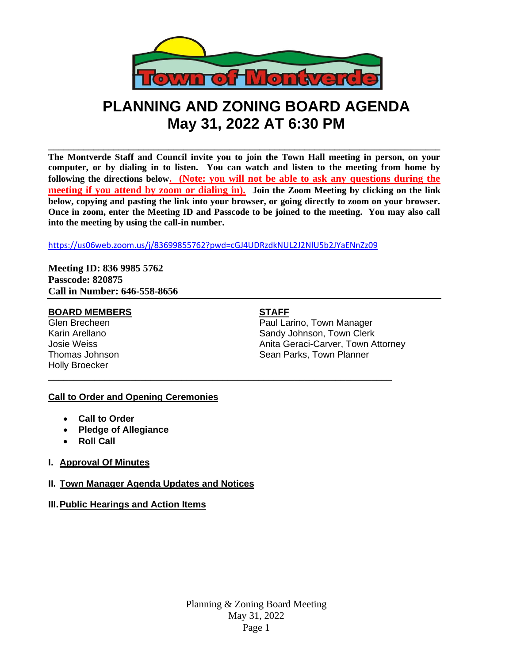

# **PLANNING AND ZONING BOARD AGENDA May 31, 2022 AT 6:30 PM**

**\_\_\_\_\_\_\_\_\_\_\_\_\_\_\_\_\_\_\_\_\_\_\_\_\_\_\_\_\_\_\_\_\_\_\_\_\_\_\_\_\_\_\_\_\_\_\_\_\_\_\_\_\_\_\_\_\_\_\_\_\_\_\_\_\_\_\_\_\_\_\_\_\_\_\_\_\_\_ The Montverde Staff and Council invite you to join the Town Hall meeting in person, on your computer, or by dialing in to listen. You can watch and listen to the meeting from home by following the directions below. (Note: you will not be able to ask any questions during the meeting if you attend by zoom or dialing in). Join the Zoom Meeting by clicking on the link below, copying and pasting the link into your browser, or going directly to zoom on your browser. Once in zoom, enter the Meeting ID and Passcode to be joined to the meeting. You may also call into the meeting by using the call-in number.**

<https://us06web.zoom.us/j/83699855762?pwd=cGJ4UDRzdkNUL2J2NlU5b2JYaENnZz09>

\_\_\_\_\_\_\_\_\_\_\_\_\_\_\_\_\_\_\_\_\_\_\_\_\_\_\_\_\_\_\_\_\_\_\_\_\_\_\_\_\_\_\_\_\_\_\_\_\_\_\_\_\_\_\_\_\_\_\_\_\_\_\_\_\_\_\_

**Meeting ID: 836 9985 5762 Passcode: 820875 Call in Number: 646-558-8656**

#### **BOARD MEMBERS STAFF**

Holly Broecker

Glen Brecheen **Paul Larino**, Town Manager Karin Arellano **Sandy Johnson, Town Clerk** Sandy Johnson, Town Clerk Josie Weiss Anita Geraci-Carver, Town Attorney Thomas Johnson **Sean Parks**, Town Planner

# **Call to Order and Opening Ceremonies**

- **Call to Order**
- **Pledge of Allegiance**
- **Roll Call**
- **I. Approval Of Minutes**

# **II. Town Manager Agenda Updates and Notices**

# **III.Public Hearings and Action Items**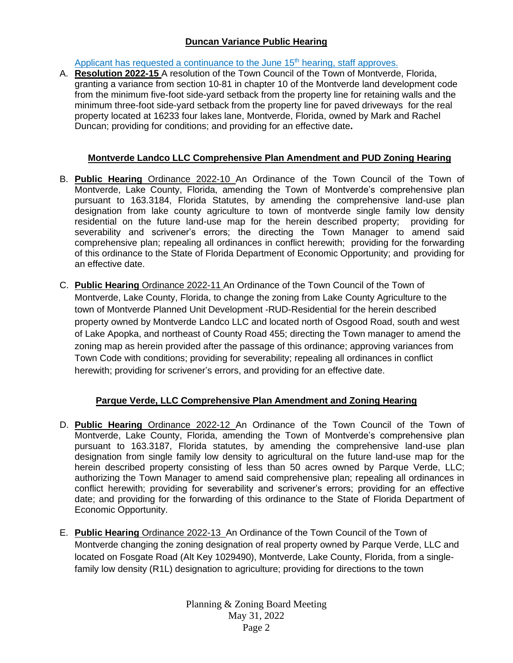# **Duncan Variance Public Hearing**

Applicant has requested a continuance to the June  $15<sup>th</sup>$  hearing, staff approves.

A. **Resolution 2022-15** A resolution of the Town Council of the Town of Montverde, Florida, granting a variance from section 10-81 in chapter 10 of the Montverde land development code from the minimum five-foot side-yard setback from the property line for retaining walls and the minimum three-foot side-yard setback from the property line for paved driveways for the real property located at 16233 four lakes lane, Montverde, Florida, owned by Mark and Rachel Duncan; providing for conditions; and providing for an effective date**.**

# **Montverde Landco LLC Comprehensive Plan Amendment and PUD Zoning Hearing**

- B. **Public Hearing** Ordinance 2022-10 An Ordinance of the Town Council of the Town of Montverde, Lake County, Florida, amending the Town of Montverde's comprehensive plan pursuant to 163.3184, Florida Statutes, by amending the comprehensive land-use plan designation from lake county agriculture to town of montverde single family low density residential on the future land-use map for the herein described property; providing for severability and scrivener's errors; the directing the Town Manager to amend said comprehensive plan; repealing all ordinances in conflict herewith; providing for the forwarding of this ordinance to the State of Florida Department of Economic Opportunity; and providing for an effective date.
- C. **Public Hearing** Ordinance 2022-11 An Ordinance of the Town Council of the Town of Montverde, Lake County, Florida, to change the zoning from Lake County Agriculture to the town of Montverde Planned Unit Development -RUD-Residential for the herein described property owned by Montverde Landco LLC and located north of Osgood Road, south and west of Lake Apopka, and northeast of County Road 455; directing the Town manager to amend the zoning map as herein provided after the passage of this ordinance; approving variances from Town Code with conditions; providing for severability; repealing all ordinances in conflict herewith; providing for scrivener's errors, and providing for an effective date.

# **Parque Verde, LLC Comprehensive Plan Amendment and Zoning Hearing**

- D. **Public Hearing** Ordinance 2022-12 An Ordinance of the Town Council of the Town of Montverde, Lake County, Florida, amending the Town of Montverde's comprehensive plan pursuant to 163.3187, Florida statutes, by amending the comprehensive land-use plan designation from single family low density to agricultural on the future land-use map for the herein described property consisting of less than 50 acres owned by Parque Verde, LLC; authorizing the Town Manager to amend said comprehensive plan; repealing all ordinances in conflict herewith; providing for severability and scrivener's errors; providing for an effective date; and providing for the forwarding of this ordinance to the State of Florida Department of Economic Opportunity.
- E. **Public Hearing** Ordinance 2022-13 An Ordinance of the Town Council of the Town of Montverde changing the zoning designation of real property owned by Parque Verde, LLC and located on Fosgate Road (Alt Key 1029490), Montverde, Lake County, Florida, from a singlefamily low density (R1L) designation to agriculture; providing for directions to the town